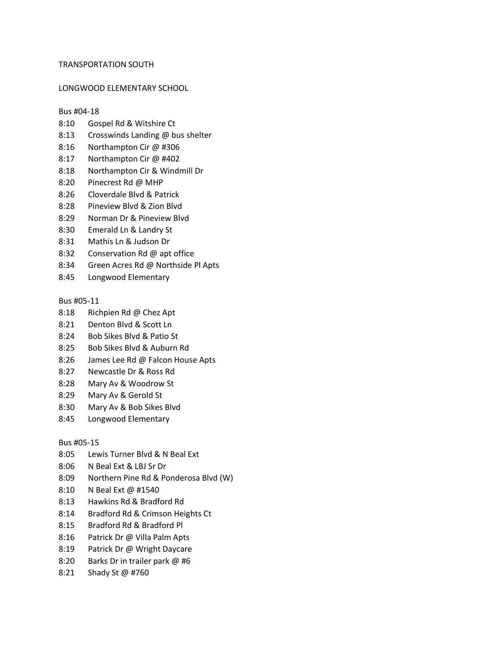## TRANSPORTATION SOUTH

### LONGWOOD ELEMENTARY SCHOOL

### Bus #04-18

- 8:10 Gospel Rd & Witshire Ct
- 8:13 Crosswinds Landing @ bus shelter
- 8:16 Northampton Cir @ #306
- 8:17 Northampton Cir @ #402
- 8:18 Northampton Cir & Windmill Dr
- 8:20 Pinecrest Rd @ MHP
- 8:26 Cloverdale Blvd & Patrick
- 8:28 Pineview Blvd & Zion Blvd
- 8:29 Norman Dr & Pineview Blvd
- 8:30 Emerald Ln & Landry St
- 8:31 Mathis Ln & Judson Dr
- 8:32 Conservation Rd @ apt office
- 8:34 Green Acres Rd @ Northside Pl Apts
- 8:45 Longwood Elementary

# Bus #05-11

- 8:18 Richpien Rd @ Chez Apt
- 8:21 Denton Blvd & Scott Ln
- 8:24 Bob Sikes Blvd & Patio St
- 8:25 Bob Sikes Blvd & Auburn Rd
- 8:26 James Lee Rd @ Falcon House Apts
- 8:27 Newcastle Dr & Ross Rd
- 8:28 Mary Av & Woodrow St
- 8:29 Mary Av & Gerold St
- 8:30 Mary Av & Bob Sikes Blvd
- 8:45 Longwood Elementary

## Bus #05-15

- 8:05 Lewis Turner Blvd & N Beal Ext
- 8:06 N Beal Ext & LBJ Sr Dr
- 8:09 Northern Pine Rd & Ponderosa Blvd (W)
- 8:10 N Beal Ext @ #1540
- 8:13 Hawkins Rd & Bradford Rd
- 8:14 Bradford Rd & Crimson Heights Ct
- 8:15 Bradford Rd & Bradford Pl
- 8:16 Patrick Dr @ Villa Palm Apts
- 8:19 Patrick Dr @ Wright Daycare
- 8:20 Barks Dr in trailer park @ #6
- 8:21 Shady St @ #760